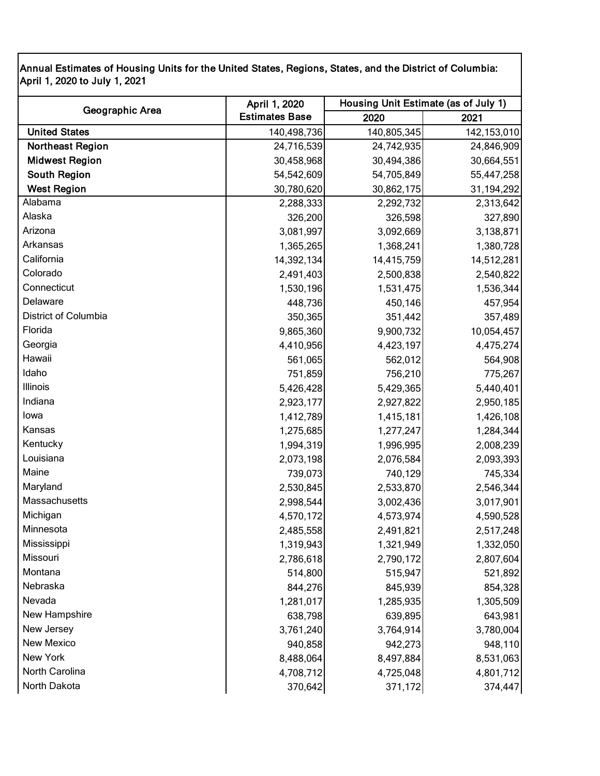Annual Estimates of Housing Units for the United States, Regions, States, and the District of Columbia: April 1, 2020 to July 1, 2021

|                         | April 1, 2020         | Housing Unit Estimate (as of July 1) |               |
|-------------------------|-----------------------|--------------------------------------|---------------|
| Geographic Area         | <b>Estimates Base</b> | 2020                                 | 2021          |
| <b>United States</b>    | 140,498,736           | 140,805,345                          | 142, 153, 010 |
| <b>Northeast Region</b> | 24,716,539            | 24,742,935                           | 24,846,909    |
| <b>Midwest Region</b>   | 30,458,968            | 30,494,386                           | 30,664,551    |
| South Region            | 54,542,609            | 54,705,849                           | 55,447,258    |
| <b>West Region</b>      | 30,780,620            | 30,862,175                           | 31,194,292    |
| Alabama                 | 2,288,333             | 2,292,732                            | 2,313,642     |
| Alaska                  | 326,200               | 326,598                              | 327,890       |
| Arizona                 | 3,081,997             | 3,092,669                            | 3,138,871     |
| Arkansas                | 1,365,265             | 1,368,241                            | 1,380,728     |
| California              | 14,392,134            | 14,415,759                           | 14,512,281    |
| Colorado                | 2,491,403             | 2,500,838                            | 2,540,822     |
| Connecticut             | 1,530,196             | 1,531,475                            | 1,536,344     |
| Delaware                | 448,736               | 450,146                              | 457,954       |
| District of Columbia    | 350,365               | 351,442                              | 357,489       |
| Florida                 | 9,865,360             | 9,900,732                            | 10,054,457    |
| Georgia                 | 4,410,956             | 4,423,197                            | 4,475,274     |
| Hawaii                  | 561,065               | 562,012                              | 564,908       |
| Idaho                   | 751,859               | 756,210                              | 775,267       |
| Illinois                | 5,426,428             | 5,429,365                            | 5,440,401     |
| Indiana                 | 2,923,177             | 2,927,822                            | 2,950,185     |
| lowa                    | 1,412,789             | 1,415,181                            | 1,426,108     |
| Kansas                  | 1,275,685             | 1,277,247                            | 1,284,344     |
| Kentucky                | 1,994,319             | 1,996,995                            | 2,008,239     |
| Louisiana               | 2,073,198             | 2,076,584                            | 2,093,393     |
| Maine                   | 739,073               | 740,129                              | 745,334       |
| Maryland                | 2,530,845             | 2,533,870                            | 2,546,344     |
| Massachusetts           | 2,998,544             | 3,002,436                            | 3,017,901     |
| Michigan                | 4,570,172             | 4,573,974                            | 4,590,528     |
| Minnesota               | 2,485,558             | 2,491,821                            | 2,517,248     |
| Mississippi             | 1,319,943             | 1,321,949                            | 1,332,050     |
| Missouri                | 2,786,618             | 2,790,172                            | 2,807,604     |
| Montana                 | 514,800               | 515,947                              | 521,892       |
| Nebraska                | 844,276               | 845,939                              | 854,328       |
| Nevada                  | 1,281,017             | 1,285,935                            | 1,305,509     |
| New Hampshire           | 638,798               | 639,895                              | 643,981       |
| New Jersey              | 3,761,240             | 3,764,914                            | 3,780,004     |
| New Mexico              | 940,858               | 942,273                              | 948,110       |
| New York                | 8,488,064             | 8,497,884                            | 8,531,063     |
| North Carolina          | 4,708,712             | 4,725,048                            | 4,801,712     |
| North Dakota            | 370,642               | 371,172                              | 374,447       |